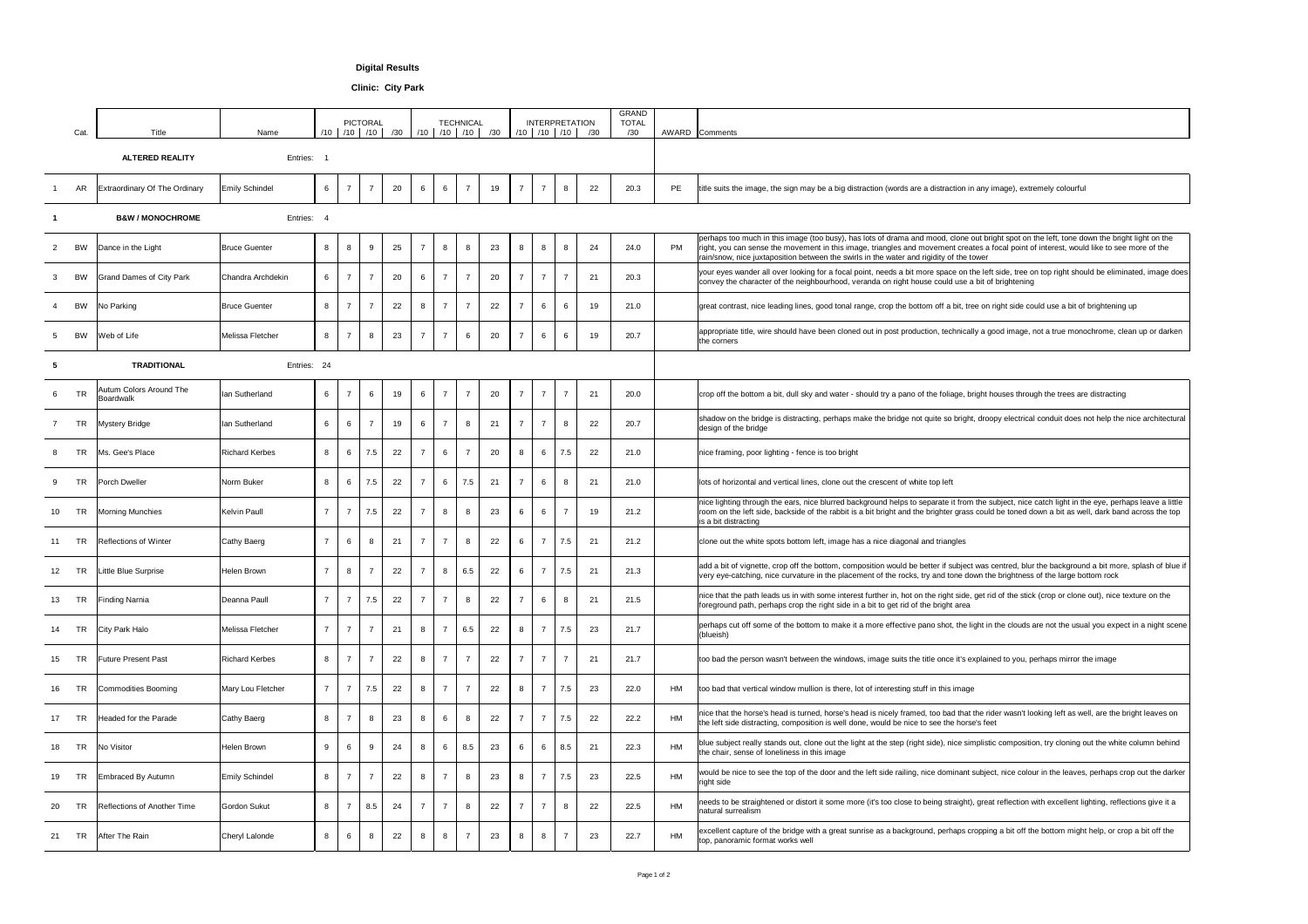|    | Cat.      | <b>Title</b>                                | Name                  | /10             |                 | <b>PICTORAL</b><br>$/10$ $/10$ $ $ | /30 |                          |                          | <b>TECHNICAL</b> | $1/10$ $/10$ $/10$ $/30$ |                 |                          | <b>INTERPRETATION</b> | $/10$ $/10$ $/10$ $/30$ | <b>GRAND</b><br><b>TOTAL</b><br>/30 |           | AWARD Comments                                                                                                                                                                                                                                                                                                                                                                     |
|----|-----------|---------------------------------------------|-----------------------|-----------------|-----------------|------------------------------------|-----|--------------------------|--------------------------|------------------|--------------------------|-----------------|--------------------------|-----------------------|-------------------------|-------------------------------------|-----------|------------------------------------------------------------------------------------------------------------------------------------------------------------------------------------------------------------------------------------------------------------------------------------------------------------------------------------------------------------------------------------|
|    |           | <b>ALTERED REALITY</b>                      | Entries:              |                 |                 |                                    |     |                          |                          |                  |                          |                 |                          |                       |                         |                                     |           |                                                                                                                                                                                                                                                                                                                                                                                    |
|    | <b>AR</b> | <b>Extraordinary Of The Ordinary</b>        | <b>Emily Schindel</b> | $6\phantom{a}$  | $\overline{7}$  | $\overline{7}$                     | 20  | 6                        |                          |                  | 19                       |                 |                          |                       | 22                      | 20.3                                | PE        | title suits the image, the sign may be a big distraction (words are a distraction in any image), extremely colourful                                                                                                                                                                                                                                                               |
|    |           | <b>B&amp;W / MONOCHROME</b>                 | Entries:              |                 |                 |                                    |     |                          |                          |                  |                          |                 |                          |                       |                         |                                     |           |                                                                                                                                                                                                                                                                                                                                                                                    |
|    | BW        | Dance in the Light                          | <b>Bruce Guenter</b>  | 8               | 8               | 9                                  | 25  |                          | 8                        | 8                | 23                       | 8               | 8                        |                       | 24                      | 24.0                                | <b>PM</b> | perhaps too much in this image (too busy), has lots of drama and mood, clone out bright spot on the left, tone down the bright light on the<br>right, you can sense the movement in this image, triangles and movement creates a focal point of interest, would like to see more of the<br>rain/snow, nice juxtaposition between the swirls in the water and rigidity of the tower |
|    | BW        | <b>Grand Dames of City Park</b>             | Chandra Archdekin     | 6               | $\overline{7}$  | $\overline{7}$                     | 20  | 6                        | $\overline{7}$           |                  | 20                       |                 |                          |                       | 2 <sup>′</sup>          | 20.3                                |           | your eyes wander all over looking for a focal point, needs a bit more space on the left side, tree on top right should be eliminated, image does<br>convey the character of the neighbourhood, veranda on right house could use a bit of brightening                                                                                                                               |
|    | BW        | No Parking                                  | <b>Bruce Guenter</b>  | 8               |                 |                                    | 22  |                          |                          |                  | 22                       |                 |                          |                       | 19                      | 21.0                                |           | great contrast, nice leading lines, good tonal range, crop the bottom off a bit, tree on right side could use a bit of brightening up                                                                                                                                                                                                                                              |
|    | BW        | Web of Life                                 | Melissa Fletcher      | 8               | $\overline{7}$  | 8                                  | 23  |                          | $\overline{7}$           |                  | 20                       |                 | 6                        |                       | 19                      | 20.7                                |           | appropriate title, wire should have been cloned out in post production, technically a good image, not a true monochrome, clean up or darken<br>the corners                                                                                                                                                                                                                         |
|    |           | <b>TRADITIONAL</b>                          | Entries: 24           |                 |                 |                                    |     |                          |                          |                  |                          |                 |                          |                       |                         |                                     |           |                                                                                                                                                                                                                                                                                                                                                                                    |
| 6  | <b>TR</b> | <b>Autum Colors Around The</b><br>Boardwalk | Ian Sutherland        | 6               | $\overline{7}$  | 6                                  | 19  | 6                        |                          |                  | 20                       |                 |                          |                       | 21                      | 20.0                                |           | crop off the bottom a bit, dull sky and water - should try a pano of the foliage, bright houses through the trees are distracting                                                                                                                                                                                                                                                  |
|    | <b>TR</b> | <b>Mystery Bridge</b>                       | Ian Sutherland        | $6\overline{6}$ | $6\overline{6}$ | $\overline{7}$                     | 19  | 6                        | $\overline{7}$           | 8                | 21                       |                 |                          |                       | 22                      | 20.7                                |           | shadow on the bridge is distracting, perhaps make the bridge not quite so bright, droopy electrical conduit does not help the nice architectural<br>design of the bridge                                                                                                                                                                                                           |
|    | TR        | Ms. Gee's Place                             | <b>Richard Kerbes</b> | 8               | $6\overline{6}$ | 7.5                                | 22  | $\overline{7}$           | $6\overline{6}$          |                  | 20                       | 8               |                          | 7.5                   | 22                      | 21.0                                |           | nice framing, poor lighting - fence is too bright                                                                                                                                                                                                                                                                                                                                  |
|    | <b>TR</b> | <b>Porch Dweller</b>                        | Norm Buker            | 8               | $6\overline{6}$ | 7.5                                | 22  | $\overline{7}$           | 6                        | 7.5              | 21                       |                 |                          |                       | 21                      | 21.0                                |           | lots of horizontal and vertical lines, clone out the crescent of white top left                                                                                                                                                                                                                                                                                                    |
|    | <b>TR</b> | <b>Morning Munchies</b>                     | <b>Kelvin Paull</b>   | $\overline{7}$  | $\overline{7}$  | 7.5                                | 22  | $\overline{7}$           | 8                        | 8                | 23                       | 6               | 6                        |                       | 19                      | 21.2                                |           | nice lighting through the ears, nice blurred background helps to separate it from the subject, nice catch light in the eye, perhaps leave a little<br>room on the left side, backside of the rabbit is a bit bright and the brighter grass could be toned down a bit as well, dark band across the top<br>is a bit distracting                                                     |
|    | <b>TR</b> | <b>Reflections of Winter</b>                | Cathy Baerg           | $\overline{z}$  | $6\phantom{1}6$ | 8                                  | 21  | $\overline{ }$           | $\overline{7}$           | 8                | 22                       | 6               | $\overline{\phantom{a}}$ | 7.5                   | 21                      | 21.2                                |           | clone out the white spots bottom left, image has a nice diagonal and triangles                                                                                                                                                                                                                                                                                                     |
| 12 | <b>TR</b> | Little Blue Surprise                        | Helen Brown           | $\overline{7}$  | 8               | $\overline{7}$                     | 22  | $\overline{7}$           | 8 <sup>8</sup>           | 6.5              | 22                       | $6\overline{6}$ | $\overline{7}$           | 7.5                   | 21                      | 21.3                                |           | add a bit of vignette, crop off the bottom, composition would be better if subject was centred, blur the background a bit more, splash of blue if<br>very eye-catching, nice curvature in the placement of the rocks, try and tone down the brightness of the large bottom rock                                                                                                    |
|    | TR        | <b>Finding Narnia</b>                       | Deanna Paull          | $\overline{7}$  | $\overline{7}$  | 7.5                                | 22  |                          | $\overline{ }$           |                  | 22                       |                 |                          |                       | 21                      | 21.5                                |           | nice that the path leads us in with some interest further in, hot on the right side, get rid of the stick (crop or clone out), nice texture on the<br>foreground path, perhaps crop the right side in a bit to get rid of the bright area                                                                                                                                          |
|    | TR        | <b>City Park Halo</b>                       | Melissa Fletcher      | $\overline{z}$  | $\overline{7}$  | $\overline{7}$                     | 21  | 8                        | $\overline{\phantom{a}}$ | 6.5              | 22                       | 8               | $\overline{z}$           | 7.5                   | 23                      | 21.7                                |           | perhaps cut off some of the bottom to make it a more effective pano shot, the light in the clouds are not the usual you expect in a night scene<br>(blueish)                                                                                                                                                                                                                       |
|    | <b>TR</b> | <b>Future Present Past</b>                  | <b>Richard Kerbes</b> | 8               | $\overline{7}$  | $\overline{7}$                     | 22  | 8                        | $\overline{7}$           |                  | 22                       |                 |                          | $\overline{z}$        | 21                      | 21.7                                |           | too bad the person wasn't between the windows, image suits the title once it's explained to you, perhaps mirror the image                                                                                                                                                                                                                                                          |
| 16 |           | <b>TR</b> Commodities Booming               | Mary Lou Fletcher     |                 | $\overline{7}$  | 7.5                                | 22  | 8                        |                          | $\overline{ }$   | 22                       | $\mathsf{R}$    | $\overline{7}$           | 7.5                   | 23                      | 22.0                                | HM        | too bad that vertical window mullion is there, lot of interesting stuff in this image                                                                                                                                                                                                                                                                                              |
|    | TR        | Headed for the Parade                       | Cathy Baerg           | 8               | - 7             | 8                                  | 23  | 8                        | 6                        | 8                | 22                       | $\overline{7}$  | $\overline{z}$           | 7.5                   | 22                      | 22.2                                | HM        | nice that the horse's head is turned, horse's head is nicely framed, too bad that the rider wasn't looking left as well, are the bright leaves on<br>the left side distracting, composition is well done, would be nice to see the horse's feet                                                                                                                                    |
|    | <b>TR</b> | No Visitor                                  | Helen Brown           | 9               | $6\phantom{1}6$ | 9                                  | 24  | 8                        | 6                        | 8.5              | 23                       |                 |                          | 8.5                   | 21                      | 22.3                                | HM        | blue subject really stands out, clone out the light at the step (right side), nice simplistic composition, try cloning out the white column behind<br>the chair, sense of loneliness in this image                                                                                                                                                                                 |
|    | <b>TR</b> | Embraced By Autumn                          | <b>Emily Schindel</b> | 8               | $\overline{7}$  | $\overline{7}$                     | 22  | 8                        | $\overline{\phantom{a}}$ | 8                | 23                       | 8               |                          | 7.5                   | 23                      | 22.5                                | HM        | would be nice to see the top of the door and the left side railing, nice dominant subject, nice colour in the leaves, perhaps crop out the darker<br>right side                                                                                                                                                                                                                    |
| 20 | TR        | <b>Reflections of Another Time</b>          | Gordon Sukut          | 8               | $\overline{7}$  | 8.5                                | 24  | $\overline{\phantom{0}}$ | $\overline{ }$           | 8                | 22                       |                 |                          |                       | 22                      | 22.5                                | HM        | needs to be straightened or distort it some more (it's too close to being straight), great reflection with excellent lighting, reflections give it a<br>natural surrealism                                                                                                                                                                                                         |
| 21 | <b>TR</b> | After The Rain                              | <b>Cheryl Lalonde</b> | 8               | 6               | 8                                  | 22  | 8                        | 8                        |                  | 23                       | 8               | 8                        |                       | 23                      | 22.7                                | HM        | excellent capture of the bridge with a great sunrise as a background, perhaps cropping a bit off the bottom might help, or crop a bit off the<br>top, panoramic format works well                                                                                                                                                                                                  |

## **Digital Results**

**Clinic: City Park**